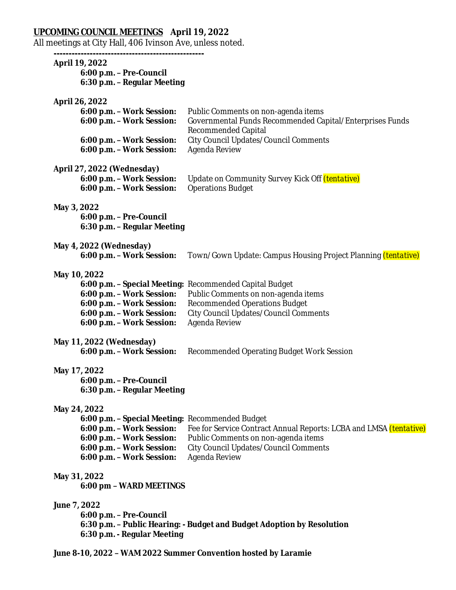# **UPCOMING COUNCIL MEETINGS April 19, 2022**

All meetings at City Hall, 406 Ivinson Ave, unless noted.

**--------------------------------------------------**

# **April 19, 2022**

**6:00 p.m. – Pre-Council 6:30 p.m. – Regular Meeting**

#### **April 26, 2022**

| 6:00 p.m. - Work Session: | Public Comments on non-agenda items                      |
|---------------------------|----------------------------------------------------------|
| 6:00 p.m. - Work Session: | Governmental Funds Recommended Capital/Enterprises Funds |
|                           | Recommended Capital                                      |
| 6:00 p.m. - Work Session: | City Council Updates/Council Comments                    |
| 6:00 p.m. - Work Session: | Agenda Review                                            |

#### **April 27, 2022 (Wednesday)**

|                                                    | <b>6:00 p.m. - Work Session:</b> Update on Community Survey Kick Off <i>(tentative)</i> |
|----------------------------------------------------|-----------------------------------------------------------------------------------------|
| <b>6:00 p.m. – Work Session:</b> Operations Budget |                                                                                         |

#### **May 3, 2022**

**6:00 p.m. – Pre-Council 6:30 p.m. – Regular Meeting**

#### **May 4, 2022 (Wednesday)**

**6:00 p.m. – Work Session:** Town/Gown Update: Campus Housing Project Planning *(tentative)*

### **May 10, 2022**

|                           | 6:00 p.m. - Special Meeting: Recommended Capital Budget |
|---------------------------|---------------------------------------------------------|
| 6:00 p.m. - Work Session: | Public Comments on non-agenda items                     |
| 6:00 p.m. - Work Session: | <b>Recommended Operations Budget</b>                    |
| 6:00 p.m. - Work Session: | City Council Updates/Council Comments                   |
| 6:00 p.m. - Work Session: | Agenda Review                                           |

#### **May 11, 2022 (Wednesday)**

# **6:00 p.m. – Work Session:** Recommended Operating Budget Work Session

### **May 17, 2022**

**6:00 p.m. – Pre-Council 6:30 p.m. – Regular Meeting**

### **May 24, 2022**

**6:00 p.m. – Special Meeting:** Recommended Budget **6:00 p.m. – Work Session:** Fee for Service Contract Annual Reports: LCBA and LMSA *(tentative)* **6:00 p.m. – Work Session:** Public Comments on non-agenda items **6:00 p.m. – Work Session:** City Council Updates/Council Comments **6:00 p.m. – Work Session:** Agenda Review

#### **May 31, 2022**

**6:00 pm – WARD MEETINGS**

### **June 7, 2022**

**6:00 p.m. – Pre-Council 6:30 p.m. – Public Hearing: - Budget and Budget Adoption by Resolution 6:30 p.m. - Regular Meeting**